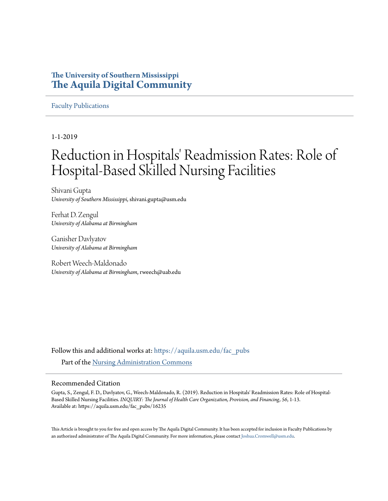# **The University of Southern Mississippi [The Aquila Digital Community](https://aquila.usm.edu?utm_source=aquila.usm.edu%2Ffac_pubs%2F16235&utm_medium=PDF&utm_campaign=PDFCoverPages)**

# [Faculty Publications](https://aquila.usm.edu/fac_pubs?utm_source=aquila.usm.edu%2Ffac_pubs%2F16235&utm_medium=PDF&utm_campaign=PDFCoverPages)

1-1-2019

# Reduction in Hospitals' Readmission Rates: Role of Hospital-Based Skilled Nursing Facilities

Shivani Gupta *University of Southern Mississippi*, shivani.gupta@usm.edu

Ferhat D. Zengul *University of Alabama at Birmingham*

Ganisher Davlyatov *University of Alabama at Birmingham*

Robert Weech-Maldonado *University of Alabama at Birmingham*, rweech@uab.edu

Follow this and additional works at: [https://aquila.usm.edu/fac\\_pubs](https://aquila.usm.edu/fac_pubs?utm_source=aquila.usm.edu%2Ffac_pubs%2F16235&utm_medium=PDF&utm_campaign=PDFCoverPages) Part of the [Nursing Administration Commons](http://network.bepress.com/hgg/discipline/719?utm_source=aquila.usm.edu%2Ffac_pubs%2F16235&utm_medium=PDF&utm_campaign=PDFCoverPages)

# Recommended Citation

Gupta, S., Zengul, F. D., Davlyatov, G., Weech-Maldonado, R. (2019). Reduction in Hospitals' Readmission Rates: Role of Hospital-Based Skilled Nursing Facilities. *INQUIRY: The Journal of Health Care Organization, Provision, and Financing, 56*, 1-13. Available at: https://aquila.usm.edu/fac\_pubs/16235

This Article is brought to you for free and open access by The Aquila Digital Community. It has been accepted for inclusion in Faculty Publications by an authorized administrator of The Aquila Digital Community. For more information, please contact [Joshua.Cromwell@usm.edu](mailto:Joshua.Cromwell@usm.edu).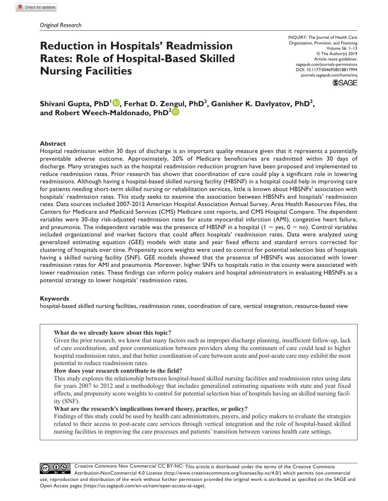# **Reduction in Hospitals' Readmission Rates: Role of Hospital-Based Skilled Nursing Facilities**

INQUIRY: The Journal of Health Care Organization, Provision, and Financing Volume 56: 1–13 © The Author(s) 2019 Article reuse guidelines: [sagepub.com/journals-permissions](https://us.sagepub.com/en-us/journals-permissions) DOI: 10.1177/0046958018817994 [journals.sagepub.com/home/inq](https://journals.sagepub.com/home/inq) **SSAGE** 

 $\boldsymbol{\mathsf{Shivani}}$  Gupta,  $\boldsymbol{\mathsf{PhD}^{\mathsf{1}\textcolor{blue}{\bullet}}}$ , Ferhat D. Zengul,  $\boldsymbol{\mathsf{PhD}^{\mathsf{2}}},$  Ganisher K. Davlyatov,  $\boldsymbol{\mathsf{PhD}^{\mathsf{2}}},$ **and Robert Weech-Maldonado, PhD2**

# **Abstract**

Hospital readmission within 30 days of discharge is an important quality measure given that it represents a potentially preventable adverse outcome. Approximately, 20% of Medicare beneficiaries are readmitted within 30 days of discharge. Many strategies such as the hospital readmission reduction program have been proposed and implemented to reduce readmission rates. Prior research has shown that coordination of care could play a significant role in lowering readmissions. Although having a hospital-based skilled nursing facility (HBSNF) in a hospital could help in improving care for patients needing short-term skilled nursing or rehabilitation services, little is known about HBSNFs' association with hospitals' readmission rates. This study seeks to examine the association between HBSNFs and hospitals' readmission rates. Data sources included 2007-2012 American Hospital Association Annual Survey, Area Health Resources Files, the Centers for Medicare and Medicaid Services (CMS) Medicare cost reports, and CMS Hospital Compare. The dependent variables were 30-day risk-adjusted readmission rates for acute myocardial infarction (AMI), congestive heart failure, and pneumonia. The independent variable was the presence of HBSNF in a hospital  $(1 = yes, 0 = no)$ . Control variables included organizational and market factors that could affect hospitals' readmission rates. Data were analyzed using generalized estimating equation (GEE) models with state and year fixed effects and standard errors corrected for clustering of hospitals over time. Propensity score weights were used to control for potential selection bias of hospitals having a skilled nursing facility (SNF). GEE models showed that the presence of HBSNFs was associated with lower readmission rates for AMI and pneumonia. Moreover, higher SNFs to hospitals ratio in the county were associated with lower readmission rates. These findings can inform policy makers and hospital administrators in evaluating HBSNFs as a potential strategy to lower hospitals' readmission rates.

# **Keywords**

hospital-based skilled nursing facilities, readmission rates, coordination of care, vertical integration, resource-based view

# **What do we already know about this topic?**

Given the prior research, we know that many factors such as improper discharge planning, insufficient follow-up, lack of care coordination, and poor communication between providers along the continuum of care could lead to higher hospital readmission rates, and that better coordination of care between acute and post-acute care may exhibit the most potential to reduce readmission rates.

# **How does your research contribute to the field?**

This study explores the relationship between hospital-based skilled nursing facilities and readmission rates using data for years 2007 to 2012 and a methodology that includes generalized estimating equations with state and year fixed effects, and propensity score weights to control for potential selection bias of hospitals having an skilled nursing facility (SNF).

# **What are the research's implications toward theory, practice, or policy?**

Findings of this study could be used by health care administrators, payers, and policy makers to evaluate the strategies related to their access to post-acute care services through vertical integration and the role of hospital-based skilled nursing facilities in improving the care processes and patients' transition between various health care settings.

Creative Commons Non Commercial CC BY-NC: This article is distributed under the terms of the Creative Commons @ 0⊗ Attribution-NonCommercial 4.0 License (http://www.creativecommons.org/licenses/by-nc/4.0/) which permits non-commercial use, reproduction and distribution of the work without further permission provided the original work is attributed as specified on the SAGE and Open Access pages (https://us.sagepub.com/en-us/nam/open-access-at-sage).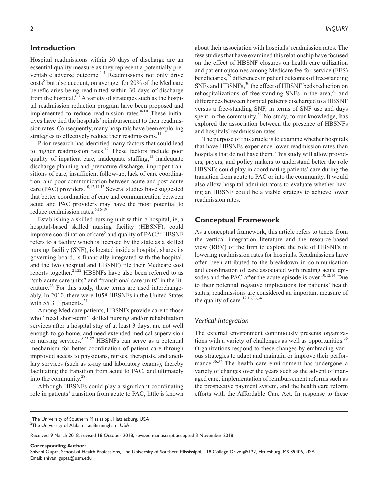# **Introduction**

Hospital readmissions within 30 days of discharge are an essential quality measure as they represent a potentially preventable adverse outcome.<sup>1-4</sup> Readmissions not only drive costs<sup>5</sup> but also account, on average, for 20% of the Medicare beneficiaries being readmitted within 30 days of discharge from the hospital.<sup>6,7</sup> A variety of strategies such as the hospital readmission reduction program have been proposed and implemented to reduce readmission rates. $8-10$  These initiatives have tied the hospitals' reimbursement to their readmission rates. Consequently, many hospitals have been exploring strategies to effectively reduce their readmissions.<sup>11</sup>

Prior research has identified many factors that could lead to higher readmission rates.<sup>12</sup> These factors include poor quality of inpatient care, inadequate staffing, $13$  inadequate discharge planning and premature discharge, improper transitions of care, insufficient follow-up, lack of care coordination, and poor communication between acute and post-acute care (PAC) providers.<sup>10,12,14,15</sup> Several studies have suggested that better coordination of care and communication between acute and PAC providers may have the most potential to reduce readmission rates.<sup>6,16-19</sup>

Establishing a skilled nursing unit within a hospital, ie, a hospital-based skilled nursing facility (HBSNF), could improve coordination of care<sup>5</sup> and quality of PAC.<sup>20</sup> HBSNF refers to a facility which is licensed by the state as a skilled nursing facility (SNF), is located inside a hospital, shares its governing board, is financially integrated with the hospital, and the two (hospital and HBSNF) file their Medicare cost reports together.<sup>21,22</sup> HBSNFs have also been referred to as "sub-acute care units" and "transitional care units" in the literature. $23$  For this study, these terms are used interchangeably. In 2010, there were 1058 HBSNFs in the United States with 55 311 patients. $24$ 

Among Medicare patients, HBSNFs provide care to those who "need short-term" skilled nursing and/or rehabilitation services after a hospital stay of at least 3 days, are not well enough to go home, and need extended medical supervision or nursing services.8,25-27 HBSNFs can serve as a potential mechanism for better coordination of patient care through improved access to physicians, nurses, therapists, and ancillary services (such as x-ray and laboratory exams), thereby facilitating the transition from acute to PAC, and ultimately into the community.<sup>28</sup>

Although HBSNFs could play a significant coordinating role in patients' transition from acute to PAC, little is known

2 *INQUIRY*

about their association with hospitals' readmission rates. The few studies that have examined this relationship have focused on the effect of HBSNF closures on health care utilization and patient outcomes among Medicare fee-for-service (FFS) beneficiaries,<sup>29</sup> differences in patient outcomes of free-standing SNFs and HBSNFs,<sup>30</sup> the effect of HBSNF beds reduction on rehospitalizations of free-standing SNFs in the area, $31$  and differences between hospital patients discharged to a HBSNF versus a free-standing SNF, in terms of SNF use and days spent in the community.<sup>32</sup> No study, to our knowledge, has explored the association between the presence of HBSNFs and hospitals' readmission rates.

The purpose of this article is to examine whether hospitals that have HBSNFs experience lower readmission rates than hospitals that do not have them. This study will allow providers, payers, and policy makers to understand better the role HBSNFs could play in coordinating patients' care during the transition from acute to PAC or into the community. It would also allow hospital administrators to evaluate whether having an HBSNF could be a viable strategy to achieve lower readmission rates.

# **Conceptual Framework**

As a conceptual framework, this article refers to tenets from the vertical integration literature and the resource-based view (RBV) of the firm to explore the role of HBSNFs in lowering readmission rates for hospitals. Readmissions have often been attributed to the breakdown in communication and coordination of care associated with treating acute episodes and the PAC after the acute episode is over.<sup>10,12,14</sup> Due to their potential negative implications for patients' health status, readmissions are considered an important measure of the quality of care.<sup>12,16,33,34</sup>

#### *Vertical Integration*

The external environment continuously presents organizations with a variety of challenges as well as opportunities.<sup>35</sup> Organizations respond to these changes by embracing various strategies to adapt and maintain or improve their performance. $36,37$  The health care environment has undergone a variety of changes over the years such as the advent of managed care, implementation of reimbursement reforms such as the prospective payment system, and the health care reform efforts with the Affordable Care Act. In response to these

**Corresponding Author:**

Shivani Gupta, School of Health Professions, The University of Southern Mississippi, 118 College Drive #5122, Httiesburg, MS 39406, USA. Email: shivani.gupta@usm.edu

<sup>&</sup>lt;sup>1</sup>The University of Southern Mississippi, Hattiesburg, USA

 $^{\rm 2}$ The University of Alabama at Birmingham, USA

Received 9 March 2018; revised 18 October 2018; revised manuscript accepted 3 November 2018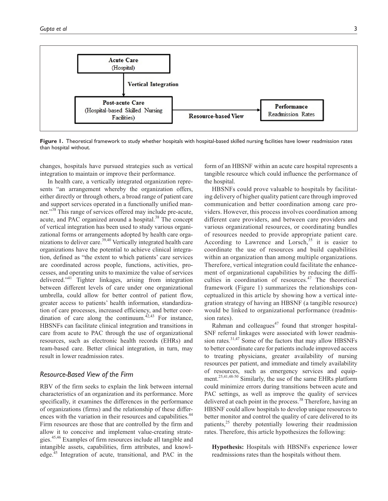

Figure 1. Theoretical framework to study whether hospitals with hospital-based skilled nursing facilities have lower readmission rates than hospital without.

changes, hospitals have pursued strategies such as vertical integration to maintain or improve their performance.

In health care, a vertically integrated organization represents "an arrangement whereby the organization offers, either directly or through others, a broad range of patient care and support services operated in a functionally unified manner."<sup>38</sup> This range of services offered may include pre-acute, acute, and PAC organized around a hospital.<sup>38</sup> The concept of vertical integration has been used to study various organizational forms or arrangements adopted by health care organizations to deliver care.39,40 Vertically integrated health care organizations have the potential to achieve clinical integration, defined as "the extent to which patients' care services are coordinated across people, functions, activities, processes, and operating units to maximize the value of services delivered."41 Tighter linkages, arising from integration between different levels of care under one organizational umbrella, could allow for better control of patient flow, greater access to patients' health information, standardization of care processes, increased efficiency, and better coordination of care along the continuum.<sup> $42,43$ </sup> For instance, HBSNFs can facilitate clinical integration and transitions in care from acute to PAC through the use of organizational resources, such as electronic health records (EHRs) and team-based care. Better clinical integration, in turn, may result in lower readmission rates.

#### *Resource-Based View of the Firm*

RBV of the firm seeks to explain the link between internal characteristics of an organization and its performance. More specifically, it examines the differences in the performance of organizations (firms) and the relationship of these differences with the variation in their resources and capabilities.<sup>44</sup> Firm resources are those that are controlled by the firm and allow it to conceive and implement value-creating strategies.<sup>45,46</sup> Examples of firm resources include all tangible and intangible assets, capabilities, firm attributes, and knowledge.45 Integration of acute, transitional, and PAC in the form of an HBSNF within an acute care hospital represents a tangible resource which could influence the performance of the hospital.

HBSNFs could prove valuable to hospitals by facilitating delivery of higher quality patient care through improved communication and better coordination among care providers. However, this process involves coordination among different care providers, and between care providers and various organizational resources, or coordinating bundles of resources needed to provide appropriate patient care. According to Lawrence and Lorsch,<sup>35</sup> it is easier to coordinate the use of resources and build capabilities within an organization than among multiple organizations. Therefore, vertical integration could facilitate the enhancement of organizational capabilities by reducing the difficulties in coordination of resources. $47$  The theoretical framework (Figure 1) summarizes the relationships conceptualized in this article by showing how a vertical integration strategy of having an HBSNF (a tangible resource) would be linked to organizational performance (readmission rates).

Rahman and colleagues<sup> $47$ </sup> found that stronger hospital-SNF referral linkages were associated with lower readmission rates.<sup>31,47</sup> Some of the factors that may allow HBSNFs to better coordinate care for patients include improved access to treating physicians, greater availability of nursing resources per patient, and immediate and timely availability of resources, such as emergency services and equipment.<sup>25,41,48-50</sup> Similarly, the use of the same EHRs platform could minimize errors during transitions between acute and PAC settings, as well as improve the quality of services delivered at each point in the process.<sup>38</sup> Therefore, having an HBSNF could allow hospitals to develop unique resources to better monitor and control the quality of care delivered to its patients, $25$  thereby potentially lowering their readmission rates. Therefore, this article hypothesizes the following:

**Hypothesis:** Hospitals with HBSNFs experience lower readmissions rates than the hospitals without them.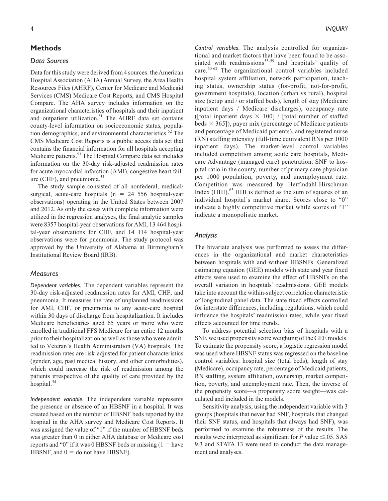# **Methods**

# *Data Sources*

Data for this study were derived from 4 sources: the American Hospital Association (AHA) Annual Survey, the Area Health Resources Files (AHRF), Center for Medicare and Medicaid Services (CMS) Medicare Cost Reports, and CMS Hospital Compare. The AHA survey includes information on the organizational characteristics of hospitals and their inpatient and outpatient utilization.<sup>51</sup> The AHRF data set contains county-level information on socioeconomic status, population demographics, and environmental characteristics.<sup>52</sup> The CMS Medicare Cost Reports is a public access data set that contains the financial information for all hospitals accepting Medicare patients.53 The Hospital Compare data set includes information on the 30-day risk-adjusted readmission rates for acute myocardial infarction (AMI), congestive heart failure (CHF), and pneumonia. $54$ 

The study sample consisted of all nonfederal, medical/ surgical, acute-care hospitals ( $n = 24$  556 hospital-year observations) operating in the United States between 2007 and 2012. As only the cases with complete information were utilized in the regression analyses, the final analytic samples were 8357 hospital-year observations for AMI, 13 464 hospital-year observations for CHF, and 14 114 hospital-year observations were for pneumonia. The study protocol was approved by the University of Alabama at Birmingham's Institutional Review Board (IRB).

#### *Measures*

*Dependent variables.* The dependent variables represent the 30-day risk-adjusted readmission rates for AMI, CHF, and pneumonia. It measures the rate of unplanned readmissions for AMI, CHF, or pneumonia to any acute-care hospital within 30 days of discharge from hospitalization. It includes Medicare beneficiaries aged 65 years or more who were enrolled in traditional FFS Medicare for an entire 12 months prior to their hospitalization as well as those who were admitted to Veteran's Health Administration (VA) hospitals. The readmission rates are risk-adjusted for patient characteristics (gender, age, past medical history, and other comorbidities), which could increase the risk of readmission among the patients irrespective of the quality of care provided by the hospital. $54$ 

*Independent variable.* The independent variable represents the presence or absence of an HBSNF in a hospital. It was created based on the number of HBSNF beds reported by the hospital in the AHA survey and Medicare Cost Reports. It was assigned the value of "1" if the number of HBSNF beds was greater than 0 in either AHA database or Medicare cost reports and "0" if it was 0 HBSNF beds or missing  $(1 = \text{have}$ HBSNF, and  $0 =$  do not have HBSNF).

*Control variables.* The analysis controlled for organizational and market factors that have been found to be associated with readmissions $55-59$  and hospitals' quality of care.60-62 The organizational control variables included hospital system affiliation, network participation, teaching status, ownership status (for-profit, not-for-profit, government hospitals), location (urban vs rural), hospital size (setup and / or staffed beds), length of stay (Medicare inpatient days / Medicare discharges), occupancy rate ([total inpatient days  $\times$  100] / [total number of staffed beds  $\times$  365]), payer mix (percentage of Medicare patients and percentage of Medicaid patients), and registered nurse (RN) staffing intensity (full-time equivalent RNs per 1000 inpatient days). The market-level control variables included competition among acute care hospitals, Medicare Advantage (managed care) penetration, SNF to hospital ratio in the county, number of primary care physician per 1000 population, poverty, and unemployment rate. Competition was measured by Herfindahl-Hirschman Index (HHI).<sup>63</sup> HHI is defined as the sum of squares of an individual hospital's market share. Scores close to "0" indicate a highly competitive market while scores of "1" indicate a monopolistic market.

#### *Analysis*

The bivariate analysis was performed to assess the differences in the organizational and market characteristics between hospitals with and without HBSNFs. Generalized estimating equation (GEE) models with state and year fixed effects were used to examine the effect of HBSNFs on the overall variation in hospitals' readmissions. GEE models take into account the within-subject correlation characteristic of longitudinal panel data. The state fixed effects controlled for interstate differences, including regulations, which could influence the hospitals' readmission rates, while year fixed effects accounted for time trends.

To address potential selection bias of hospitals with a SNF, we used propensity score weighting of the GEE models. To estimate the propensity score, a logistic regression model was used where HBSNF status was regressed on the baseline control variables: hospital size (total beds), length of stay (Medicare), occupancy rate, percentage of Medicaid patients, RN staffing, system affiliation, ownership, market competition, poverty, and unemployment rate. Then, the inverse of the propensity score—a propensity score weight—was calculated and included in the models.

Sensitivity analysis, using the independent variable with 3 groups (hospitals that never had SNF, hospitals that changed their SNF status, and hospitals that always had SNF), was performed to examine the robustness of the results. The results were interpreted as significant for  $P$  value  $\leq 0.05$ . SAS 9.3 and STATA 13 were used to conduct the data management and analyses.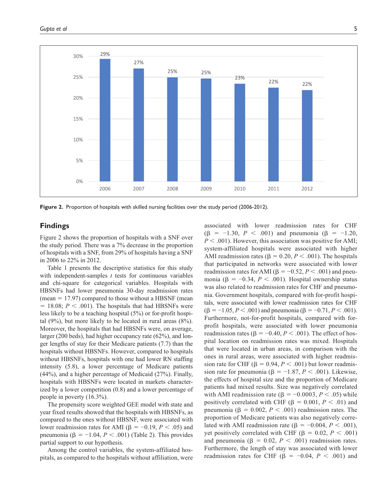

**Figure 2.** Proportion of hospitals with skilled nursing facilities over the study period (2006-2012).

# **Findings**

Figure 2 shows the proportion of hospitals with a SNF over the study period. There was a 7% decrease in the proportion of hospitals with a SNF, from 29% of hospitals having a SNF in 2006 to 22% in 2012.

Table 1 presents the descriptive statistics for this study with independent-samples *t* tests for continuous variables and chi-square for categorical variables. Hospitals with HBSNFs had lower pneumonia 30-day readmission rates  $(mean = 17.97)$  compared to those without a HBSNF (mean  $= 18.08; P < .001$ ). The hospitals that had HBSNFs were less likely to be a teaching hospital (5%) or for-profit hospital  $(9\%)$ , but more likely to be located in rural areas  $(8\%)$ . Moreover, the hospitals that had HBSNFs were, on average, larger (200 beds), had higher occupancy rate (62%), and longer lengths of stay for their Medicare patients (7.7) than the hospitals without HBSNFs. However, compared to hospitals without HBSNFs, hospitals with one had lower RN staffing intensity (5.8), a lower percentage of Medicare patients (44%), and a higher percentage of Medicaid (27%). Finally, hospitals with HBSNFs were located in markets characterized by a lower competition (0.8) and a lower percentage of people in poverty (16.3%).

The propensity score weighted GEE model with state and year fixed results showed that the hospitals with HBSNFs, as compared to the ones without HBSNF, were associated with lower readmission rates for AMI ( $\beta$  = -0.19, *P* < .05) and pneumonia (β =  $-1.04$ , *P* < .001) (Table 2). This provides partial support to our hypothesis.

Among the control variables, the system-affiliated hospitals, as compared to the hospitals without affiliation, were associated with lower readmission rates for CHF  $(\beta = -1.30, P < .001)$  and pneumonia  $(\beta = -1.20,$  $P < .001$ ). However, this association was positive for AMI; system-affiliated hospitals were associated with higher AMI readmission rates ( $\beta = 0.20, P < .001$ ). The hospitals that participated in networks were associated with lower readmission rates for AMI ( $\beta = -0.52, P < .001$ ) and pneumonia (β =  $-0.34$ , *P* < .001). Hospital ownership status was also related to readmission rates for CHF and pneumonia. Government hospitals, compared with for-profit hospitals, were associated with lower readmission rates for CHF  $(β = -1.05, P < .001)$  and pneumonia  $(β = -0.71, P < .001)$ . Furthermore, not-for-profit hospitals, compared with forprofit hospitals, were associated with lower pneumonia readmission rates ( $\beta = -0.40, P < .001$ ). The effect of hospital location on readmission rates was mixed. Hospitals that were located in urban areas, in comparison with the ones in rural areas, were associated with higher readmission rate for CHF ( $\beta = 0.94, P < .001$ ) but lower readmission rate for pneumonia ( $\beta = -1.87, P < .001$ ). Likewise, the effects of hospital size and the proportion of Medicare patients had mixed results. Size was negatively correlated with AMI readmission rate ( $\beta = -0.0003$ ,  $P < .05$ ) while positively correlated with CHF ( $\beta = 0.001, P < .01$ ) and pneumonia ( $\beta = 0.002$ ,  $P < .001$ ) readmission rates. The proportion of Medicare patients was also negatively correlated with AMI readmission rate (β = −0.004, *P* < .001), yet positively correlated with CHF (β =  $0.02, P < .001$ ) and pneumonia ( $\beta = 0.02$ ,  $P < .001$ ) readmission rates. Furthermore, the length of stay was associated with lower readmission rates for CHF ( $\beta$  = -0.04, *P* < .001) and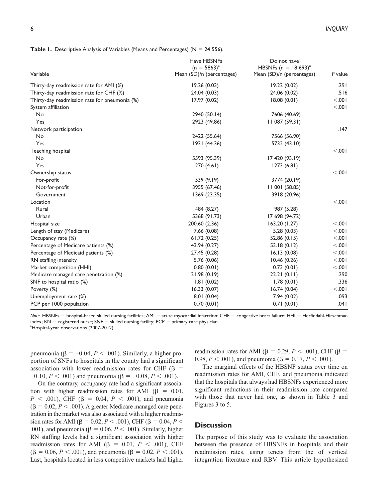| Variable                                      | Have HBSNFs<br>$(n = 5863)^{a}$<br>Mean (SD)/n (percentages) | Do not have<br>HBSNFs (n = 18 693) <sup>a</sup><br>Mean (SD)/n (percentages) | P value |
|-----------------------------------------------|--------------------------------------------------------------|------------------------------------------------------------------------------|---------|
|                                               |                                                              |                                                                              |         |
| Thirty-day readmission rate for AMI (%)       | 19.26(0.03)                                                  | 19.22 (0.02)                                                                 | .291    |
| Thirty-day readmission rate for CHF (%)       | 24.04 (0.03)                                                 | 24.06 (0.02)                                                                 | .516    |
| Thirty-day readmission rate for pneumonia (%) | 17.97(0.02)                                                  | 18.08(0.01)                                                                  | 100.    |
| System affiliation                            |                                                              |                                                                              | < 0.001 |
| No                                            | 2940 (50.14)                                                 | 7606 (40.69)                                                                 |         |
| Yes                                           | 2923 (49.86)                                                 | 11087(59.31)                                                                 |         |
| Network participation                         |                                                              |                                                                              | .147    |
| No                                            | 2422 (55.64)                                                 | 7566 (56.90)                                                                 |         |
| Yes                                           | 1931 (44.36)                                                 | 5732 (43.10)                                                                 |         |
| Teaching hospital                             |                                                              |                                                                              | 100.    |
| No                                            | 5593 (95.39)                                                 | 17 420 (93.19)                                                               |         |
| Yes                                           | 270(4.61)                                                    | 1273(6.81)                                                                   |         |
| Ownership status                              |                                                              |                                                                              | 100.    |
| For-profit                                    | 539 (9.19)                                                   | 3774 (20.19)                                                                 |         |
| Not-for-profit                                | 3955 (67.46)                                                 | 11001(58.85)                                                                 |         |
| Government                                    | 1369 (23.35)                                                 | 3918 (20.96)                                                                 |         |
| Location                                      |                                                              |                                                                              | 100.    |
| Rural                                         | 484 (8.27)                                                   | 987 (5.28)                                                                   |         |
| Urban                                         | 5368 (91.73)                                                 | 17 698 (94.72)                                                               |         |
| Hospital size                                 | 200.60 (2.36)                                                | 163.20(1.27)                                                                 | 100.    |
| Length of stay (Medicare)                     | 7.66(0.08)                                                   | 5.28(0.03)                                                                   | < 0.001 |
| Occupancy rate (%)                            | 61.72 (0.25)                                                 | 52.86(0.15)                                                                  | < 0.001 |
| Percentage of Medicare patients (%)           | 43.94 (0.27)                                                 | 53.18(0.12)                                                                  | < 0.001 |
| Percentage of Medicaid patients (%)           | 27.45 (0.28)                                                 | 16.13(0.08)                                                                  | < 0.001 |
| RN staffing intensity                         | 5.76 (0.06)                                                  | 10.46(0.26)                                                                  | < 0.001 |
| Market competition (HHI)                      | 0.80(0.01)                                                   | 0.73(0.01)                                                                   | < .001  |
| Medicare managed care penetration (%)         | 21.98(0.19)                                                  | 22.21(0.11)                                                                  | .290    |
| SNF to hospital ratio (%)                     | 1.81(0.02)                                                   | 1.78(0.01)                                                                   | .336    |
| Poverty (%)                                   | 16.33(0.07)                                                  | 16.74(0.04)                                                                  | 100.    |
| Unemployment rate (%)                         | 8.01(0.04)                                                   | 7.94(0.02)                                                                   | .093    |
| PCP per 1000 population                       | 0.70(0.01)                                                   | 0.71(0.01)                                                                   | .041    |

**Table 1.** Descriptive Analysis of Variables (Means and Percentages) (N = 24 556).

*Note.* HBSNFs = hospital-based skilled nursing facilities; AMI = acute myocardial infarction; CHF = congestive heart failure; HHI = Herfindahl-Hirschman index;  $RN =$  registered nurse;  $SNF =$  skilled nursing facility;  $PCP =$  primary care physician. <sup>a</sup>Hospital-year observations (2007-2012).

pneumonia (β = −0.04, *P* < .001). Similarly, a higher proportion of SNFs to hospitals in the county had a significant association with lower readmission rates for CHF (β =  $-0.10, P < .001$ ) and pneumonia ( $\beta = -0.08, P < .001$ ).

On the contrary, occupancy rate had a significant association with higher readmission rates for AMI  $(\beta = 0.01,$ *P* < .001), CHF (β = 0.04, *P* < .001), and pneumonia  $(\beta = 0.02, P < .001)$ . A greater Medicare managed care penetration in the market was also associated with a higher readmission rates for AMI ( $\beta = 0.02, P < .001$ ), CHF ( $\beta = 0.04, P <$ .001), and pneumonia ( $\beta = 0.06, P < .001$ ). Similarly, higher RN staffing levels had a significant association with higher readmission rates for AMI (β = 0.01,  $P < .001$ ), CHF ( $\beta = 0.06, P < .001$ ), and pneumonia ( $\beta = 0.02, P < .001$ ). Last, hospitals located in less competitive markets had higher

readmission rates for AMI (β = 0.29, *P* < .001), CHF (β = 0.98,  $P < .001$ ), and pneumonia ( $\beta = 0.17, P < .001$ ).

The marginal effects of the HBSNF status over time on readmission rates for AMI, CHF, and pneumonia indicated that the hospitals that always had HBSNFs experienced more significant reductions in their readmission rate compared with those that never had one, as shown in Table 3 and Figures 3 to 5.

# **Discussion**

The purpose of this study was to evaluate the association between the presence of HBSNFs in hospitals and their readmission rates, using tenets from the of vertical integration literature and RBV. This article hypothesized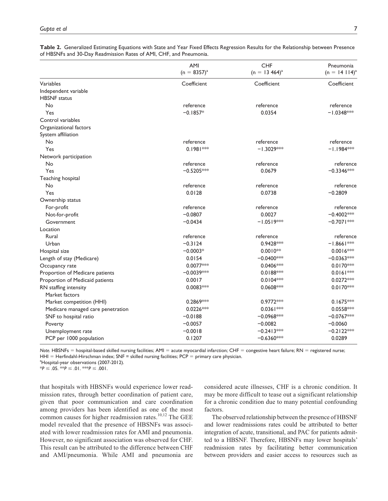|  | Table 2. Generalized Estimating Equations with State and Year Fixed Effects Regression Results for the Relationship between Presence |  |  |  |  |  |
|--|--------------------------------------------------------------------------------------------------------------------------------------|--|--|--|--|--|
|  | of HBSNFs and 30-Day Readmission Rates of AMI, CHF, and Pneumonia.                                                                   |  |  |  |  |  |

|                                   | AMI<br>$(n = 8357)^{a}$ | <b>CHF</b><br>$(n = 13464)^{a}$ | Pneumonia<br>$(n = 14114)^{a}$ |
|-----------------------------------|-------------------------|---------------------------------|--------------------------------|
| Variables                         | Coefficient             | Coefficient                     | Coefficient                    |
| Independent variable              |                         |                                 |                                |
| <b>HBSNF</b> status               |                         |                                 |                                |
| No                                | reference               | reference                       | reference                      |
| Yes                               | $-0.1857*$              | 0.0354                          | $-1.0348$ **                   |
| Control variables                 |                         |                                 |                                |
| Organizational factors            |                         |                                 |                                |
| System affiliation                |                         |                                 |                                |
| No                                | reference               | reference                       | reference                      |
| Yes                               | $0.1981***$             | $-1.3029***$                    | $-1.1984***$                   |
| Network participation             |                         |                                 |                                |
| No                                | reference               | reference                       | reference                      |
| Yes                               | $-0.5205***$            | 0.0679                          | $-0.3346***$                   |
| Teaching hospital                 |                         |                                 |                                |
| No                                | reference               | reference                       | reference                      |
| Yes                               | 0.0128                  | 0.0738                          | $-0.2809$                      |
| Ownership status                  |                         |                                 |                                |
| For-profit                        | reference               | reference                       | reference                      |
| Not-for-profit                    | $-0.0807$               | 0.0027                          | $-0.4002$ **                   |
| Government                        | $-0.0434$               | $-1.0519***$                    | $-0.7071***$                   |
| Location                          |                         |                                 |                                |
| Rural                             | reference               | reference                       | reference                      |
| Urban                             | $-0.3124$               | 0.9428***                       | $-1.8661***$                   |
| Hospital size                     | $-0.0003*$              | $0.0010**$                      | $0.0016***$                    |
| Length of stay (Medicare)         | 0.0154                  | $-0.0400$ ***                   | $-0.0363$ **                   |
| Occupancy rate                    | 0.0077***               | $0.0406**$                      | 0.0170***                      |
| Proportion of Medicare patients   | $-0.0039***$            | $0.0188**$                      | $0.0161***$                    |
| Proportion of Medicaid patients   | 0.0017                  | $0.0104**$                      | $0.0272***$                    |
| RN staffing intensity             | $0.0083***$             | $0.0608***$                     | $0.0170^{*+1}$                 |
| Market factors                    |                         |                                 |                                |
| Market competition (HHI)          | $0.2869***$             | $0.9772***$                     | $0.1675***$                    |
| Medicare managed care penetration | $0.0226***$             | $0.0361***$                     | 0.0558***                      |
| SNF to hospital ratio             | $-0.0188$               | $-0.0968***$                    | $-0.0767***$                   |
| Poverty                           | $-0.0057$               | $-0.0082$                       | $-0.0060$                      |
| Unemployment rate                 | $-0.0018$               | $-0.2413***$                    | $-0.2122***$                   |
| PCP per 1000 population           | 0.1207                  | $-0.6360$ **                    | 0.0289                         |

Note. HBSNFs = hospital-based skilled nursing facilities; AMI = acute myocardial infarction; CHF = congestive heart failure; RN = registered nurse;  $HHI = Herfindahl-Hirschman index; SNF = skilled nursing facilities; PCP = primary care physician.$ 

<sup>a</sup>Hospital-year observations (2007-2012).  $*P \leq .05. *P \leq .01. *P \leq .001.$ 

that hospitals with HBSNFs would experience lower readmission rates, through better coordination of patient care, given that poor communication and care coordination among providers has been identified as one of the most common causes for higher readmission rates. $10,12$  The GEE model revealed that the presence of HBSNFs was associated with lower readmission rates for AMI and pneumonia. However, no significant association was observed for CHF. This result can be attributed to the difference between CHF and AMI/pneumonia. While AMI and pneumonia are

considered acute illnesses, CHF is a chronic condition. It may be more difficult to tease out a significant relationship for a chronic condition due to many potential confounding factors.

The observed relationship between the presence of HBSNF and lower readmissions rates could be attributed to better integration of acute, transitional, and PAC for patients admitted to a HBSNF. Therefore, HBSNFs may lower hospitals' readmission rates by facilitating better communication between providers and easier access to resources such as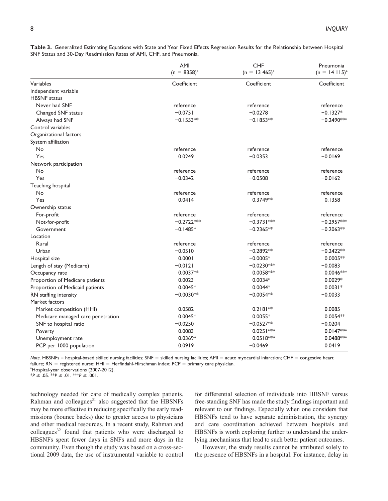|                                             | AMI<br>$(n = 8358)^{a}$ | <b>CHF</b><br>$(n = 13, 465)^{a}$ | Pneumonia<br>$(n = 14115)^{3}$ |
|---------------------------------------------|-------------------------|-----------------------------------|--------------------------------|
| Variables                                   | Coefficient             | Coefficient                       | Coefficient                    |
| Independent variable<br><b>HBSNF</b> status |                         |                                   |                                |
| Never had SNF                               | reference               | reference                         | reference                      |
| Changed SNF status                          | $-0.0751$               | $-0.0278$                         | $-0.1327*$                     |
| Always had SNF                              | $-0.1553**$             | $-0.1853**$                       | $-0.2490**$                    |
| Control variables                           |                         |                                   |                                |
| Organizational factors                      |                         |                                   |                                |
| System affiliation                          |                         |                                   |                                |
| No                                          | reference               | reference                         | reference                      |
| Yes                                         | 0.0249                  | $-0.0353$                         | $-0.0169$                      |
| Network participation                       |                         |                                   |                                |
| No                                          | reference               | reference                         | reference                      |
| Yes                                         | $-0.0342$               | $-0.0508$                         | $-0.0162$                      |
| Teaching hospital                           |                         |                                   |                                |
| No                                          | reference               | reference                         | reference                      |
| Yes                                         | 0.0414                  | 0.3749**                          | 0.1358                         |
| Ownership status                            |                         |                                   |                                |
| For-profit                                  | reference               | reference                         | reference                      |
| Not-for-profit                              | $-0.2722***$            | $-0.3731***$                      | $-0.2957***$                   |
| Government                                  | $-0.1485*$              | $-0.2365**$                       | $-0.2063**$                    |
| Location                                    |                         |                                   |                                |
| Rural                                       | reference               | reference                         | reference                      |
| Urban                                       | $-0.0510$               | $-0.2892**$                       | $-0.2422**$                    |
| Hospital size                               | 0.0001                  | $-0.0005*$                        | $0.0005**$                     |
| Length of stay (Medicare)                   | $-0.0121$               | $-0.0230***$                      | $-0.0083$                      |
| Occupancy rate                              | $0.0037**$              | $0.0058***$                       | 0.0046***                      |
| Proportion of Medicare patients             | 0.0023                  | $0.0034*$                         | $0.0029*$                      |
| Proportion of Medicaid patients             | $0.0045*$               | $0.0044*$                         | $0.0031*$                      |
| RN staffing intensity                       | $-0.0030**$             | $-0.0054**$                       | $-0.0033$                      |
| Market factors                              |                         |                                   |                                |
| Market competition (HHI)                    | 0.0582                  | $0.2181**$                        | 0.0085                         |
| Medicare managed care penetration           | $0.0045*$               | $0.0055*$                         | $0.0054**$                     |
| SNF to hospital ratio                       | $-0.0250$               | $-0.0527**$                       | $-0.0204$                      |
| Poverty                                     | 0.0083                  | $0.0251***$                       | $0.0147***$                    |
| Unemployment rate                           | 0.0369*                 | $0.0518***$                       | 0.0488***                      |
| PCP per 1000 population                     | 0.0919                  | $-0.0469$                         | 0.0419                         |

**Table 3.** Generalized Estimating Equations with State and Year Fixed Effects Regression Results for the Relationship between Hospital SNF Status and 30-Day Readmission Rates of AMI, CHF, and Pneumonia.

*Note.* HBSNFs = hospital-based skilled nursing facilities; SNF = skilled nursing facilities; AMI = acute myocardial infarction; CHF = congestive heart failure;  $RN =$  registered nurse;  $HHI =$  Herfindahl-Hirschman index;  $PCP =$  primary care physician.

<sup>a</sup>Hospital-year observations (2007-2012).

 $*P \leq .05.$  \*\* $P \leq .01.$  \*\* $P \leq .001.$ 

technology needed for care of medically complex patients. Rahman and colleagues $31$  also suggested that the HBSNFs may be more effective in reducing specifically the early readmissions (bounce backs) due to greater access to physicians and other medical resources. In a recent study, Rahman and  $\text{colle}$ gues<sup>32</sup> found that patients who were discharged to HBSNFs spent fewer days in SNFs and more days in the community. Even though the study was based on a cross-sectional 2009 data, the use of instrumental variable to control

for differential selection of individuals into HBSNF versus free-standing SNF has made the study findings important and relevant to our findings. Especially when one considers that HBSNFs tend to have separate administration, the synergy and care coordination achieved between hospitals and HBSNFs is worth exploring further to understand the underlying mechanisms that lead to such better patient outcomes.

However, the study results cannot be attributed solely to the presence of HBSNFs in a hospital. For instance, delay in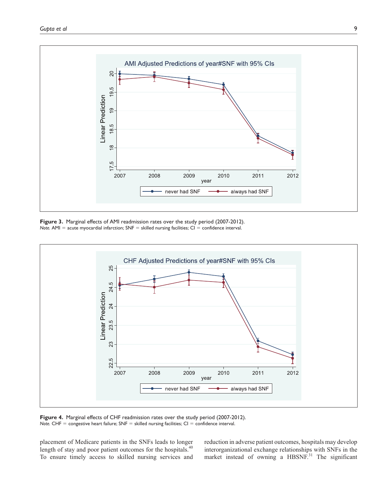

**Figure 3.** Marginal effects of AMI readmission rates over the study period (2007-2012). *Note.*  $AMI =$  acute myocardial infarction;  $SNF =$  skilled nursing facilities;  $CI =$  confidence interval.



**Figure 4.** Marginal effects of CHF readmission rates over the study period (2007-2012). Note. CHF = congestive heart failure; SNF = skilled nursing facilities; CI = confidence interval.

placement of Medicare patients in the SNFs leads to longer length of stay and poor patient outcomes for the hospitals.<sup>40</sup> To ensure timely access to skilled nursing services and reduction in adverse patient outcomes, hospitals may develop interorganizational exchange relationships with SNFs in the market instead of owning a HBSNF.<sup>31</sup> The significant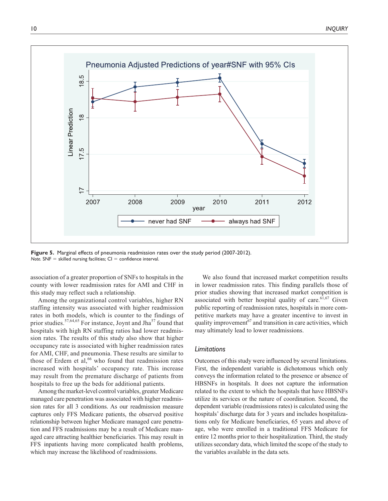

**Figure 5.** Marginal effects of pneumonia readmission rates over the study period (2007-2012). *Note.*  $SNF =$  skilled nursing facilities;  $CI =$  confidence interval.

association of a greater proportion of SNFs to hospitals in the county with lower readmission rates for AMI and CHF in this study may reflect such a relationship.

Among the organizational control variables, higher RN staffing intensity was associated with higher readmission rates in both models, which is counter to the findings of prior studies.<sup>57,64,65</sup> For instance, Joynt and Jha<sup>57</sup> found that hospitals with high RN staffing ratios had lower readmission rates. The results of this study also show that higher occupancy rate is associated with higher readmission rates for AMI, CHF, and pneumonia. These results are similar to those of Erdem et al,<sup>66</sup> who found that readmission rates increased with hospitals' occupancy rate. This increase may result from the premature discharge of patients from hospitals to free up the beds for additional patients.

Among the market-level control variables, greater Medicare managed care penetration was associated with higher readmission rates for all 3 conditions. As our readmission measure captures only FFS Medicare patients, the observed positive relationship between higher Medicare managed care penetration and FFS readmissions may be a result of Medicare managed care attracting healthier beneficiaries. This may result in FFS inpatients having more complicated health problems, which may increase the likelihood of readmissions.

We also found that increased market competition results in lower readmission rates. This finding parallels those of prior studies showing that increased market competition is associated with better hospital quality of care.  $61,67$  Given public reporting of readmission rates, hospitals in more competitive markets may have a greater incentive to invest in quality improvement<sup>67</sup> and transition in care activities, which may ultimately lead to lower readmissions.

#### *Limitations*

Outcomes of this study were influenced by several limitations. First, the independent variable is dichotomous which only conveys the information related to the presence or absence of HBSNFs in hospitals. It does not capture the information related to the extent to which the hospitals that have HBSNFs utilize its services or the nature of coordination. Second, the dependent variable (readmissions rates) is calculated using the hospitals' discharge data for 3 years and includes hospitalizations only for Medicare beneficiaries, 65 years and above of age, who were enrolled in a traditional FFS Medicare for entire 12 months prior to their hospitalization. Third, the study utilizes secondary data, which limited the scope of the study to the variables available in the data sets.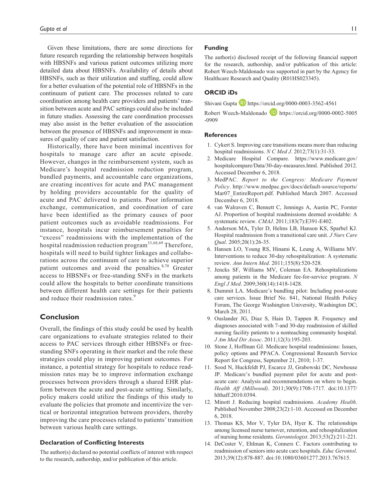Given these limitations, there are some directions for future research regarding the relationship between hospitals with HBSNFs and various patient outcomes utilizing more detailed data about HBSNFs. Availability of details about HBSNFs, such as their utilization and staffing, could allow for a better evaluation of the potential role of HBSNFs in the continuum of patient care. The processes related to care coordination among health care providers and patients' transition between acute and PAC settings could also be included in future studies. Assessing the care coordination processes may also assist in the better evaluation of the association between the presence of HBSNFs and improvement in measures of quality of care and patient satisfaction.

Historically, there have been minimal incentives for hospitals to manage care after an acute episode. However, changes in the reimbursement system, such as Medicare's hospital readmission reduction program, bundled payments, and accountable care organizations, are creating incentives for acute and PAC management by holding providers accountable for the quality of acute and PAC delivered to patients. Poor information exchange, communication, and coordination of care have been identified as the primary causes of poor patient outcomes such as avoidable readmissions. For instance, hospitals incur reimbursement penalties for "excess" readmissions with the implementation of the hospital readmission reduction program<sup>33,68,69</sup> Therefore, hospitals will need to build tighter linkages and collaborations across the continuum of care to achieve superior patient outcomes and avoid the penalties. $8,70$  Greater access to HBSNFs or free-standing SNFs in the markets could allow the hospitals to better coordinate transitions between different health care settings for their patients and reduce their readmission rates.<sup>9</sup>

# **Conclusion**

Overall, the findings of this study could be used by health care organizations to evaluate strategies related to their access to PAC services through either HBSNFs or freestanding SNFs operating in their market and the role these strategies could play in improving patient outcomes. For instance, a potential strategy for hospitals to reduce readmission rates may be to improve information exchange processes between providers through a shared EHR platform between the acute and post-acute setting. Similarly, policy makers could utilize the findings of this study to evaluate the policies that promote and incentivize the vertical or horizontal integration between providers, thereby improving the care processes related to patients' transition between various health care settings.

#### **Declaration of Conflicting Interests**

The author(s) declared no potential conflicts of interest with respect to the research, authorship, and/or publication of this article.

#### **Funding**

The author(s) disclosed receipt of the following financial support for the research, authorship, and/or publication of this article: Robert Weech-Maldonado was supported in part by the Agency for Healthcare Research and Quality (R01HS023345).

# **ORCID iDs**

Shivani Gupta  $\Box$  <https://orcid.org/0000-0003-3562-4561>

Robert Weech-Maldonado **b** [https://orcid.org/0000-0002-5005](https://orcid.org/0000-0002-5005-0909) [-0909](https://orcid.org/0000-0002-5005-0909)

#### **References**

- 1. Cykert S. Improving care transitions means more than reducing hospital readmissions. *N C Med J*. 2012;73(1):31-33.
- 2. Medicare Hospital Compare. [https://www.medicare.gov/](https://www.medicare.gov/hospitalcompare/Data/30-day-measures.html) [hospitalcompare/Data/30-day-measures.html](https://www.medicare.gov/hospitalcompare/Data/30-day-measures.html). Published 2012. Accessed December 6, 2018.
- 3. MedPAC. *Report to the Congress: Medicare Payment Policy*. [http://www.medpac.gov/docs/default-source/reports/](http://www.medpac.gov/docs/default-source/reports/Mar07_EntireReport.pdf) Mar07 EntireReport.pdf. Published March 2007. Accessed December 6, 2018.
- 4. van Walraven C, Bennett C, Jennings A, Austin PC, Forster AJ. Proportion of hospital readmissions deemed avoidable: A systematic review. *CMAJ*. 2011;183(7):E391-E402.
- 5. Anderson MA, Tyler D, Helms LB, Hanson KS, Sparbel KJ. Hospital readmission from a transitional care unit. *J Nurs Care Qual*. 2005;20(1):26-35.
- 6. Hansen LO, Young RS, Hinami K, Leung A, Williams MV. Interventions to reduce 30-day rehospitalization: A systematic review. *Ann Intern Med*. 2011;155(8):520-528.
- 7. Jencks SF, Williams MV, Coleman EA. Rehospitalizations among patients in the Medicare fee-for-service program. *N Engl J Med*. 2009;360(14):1418-1428.
- 8. Dummit LA. Medicare's bundling pilot: Including post-acute care services. Issue Brief No. 841, National Health Policy Forum, The George Washington University, Washington DC; March 28, 2011.
- 9. Ouslander JG, Diaz S, Hain D, Tappen R. Frequency and diagnoses associated with 7-and 30-day readmission of skilled nursing facility patients to a nonteaching community hospital. *J Am Med Dir Assoc*. 2011;12(3):195-203.
- 10. Stone J, Hoffman GJ. Medicare hospital readmissions: Issues, policy options and PPACA. Congressional Research Service Report for Congress, September 21, 2010; 1-37.
- 11. Sood N, Huckfeldt PJ, Escarce JJ, Grabowski DC, Newhouse JP. Medicare's bundled payment pilot for acute and postacute care: Analysis and recommendations on where to begin. *Health Aff (Millwood)*. 2011;30(9):1708-1717. doi:10.1377/ hlthaff.2010.0394.
- 12. Minott J. Reducing hospital readmissions. *Academy Health*. Published November 2008;23(2):1-10. Accessed on December 6, 2018.
- 13. Thomas KS, Mor V, Tyler DA, Hyer K. The relationships among licensed nurse turnover, retention, and rehospitalization of nursing home residents. *Gerontologist*. 2013;53(2):211-221.
- 14. DeCoster V, Ehlman K, Conners C. Factors contributing to readmission of seniors into acute care hospitals. *Educ Gerontol*. 2013;39(12):878-887. doi:10.1080/03601277.2013.767615.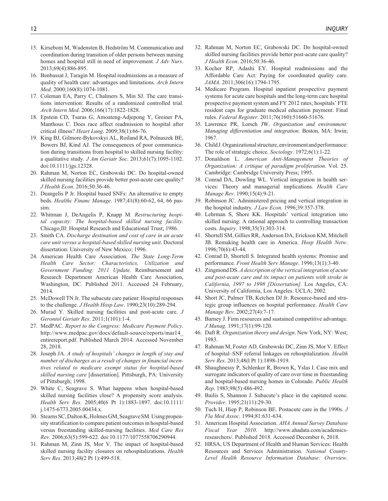- 15. Kirsebom M, Wadensten B, Hedström M. Communication and coordination during transition of older persons between nursing homes and hospital still in need of improvement. *J Adv Nurs*. 2013;69(4):886-895.
- 16. Benbassat J, Taragin M. Hospital readmissions as a measure of quality of health care: advantages and limitations. *Arch Intern Med*. 2000;160(8):1074-1081.
- 17. Coleman EA, Parry C, Chalmers S, Min SJ. The care transitions intervention: Results of a randomized controlled trial. *Arch Intern Med*. 2006;166(17):1822-1828.
- 18. Epstein CD, Tsaras G, Amoateng-Adjepong Y, Greiner PA, Manthous C. Does race affect readmission to hospital after critical illness? *Heart Lung*. 2009;38(1):66-76.
- 19. King BJ, Gilmore-Bykovskyi AL, Roiland RA, Polnaszek BE, Bowers BJ, Kind AJ. The consequences of poor communication during transitions from hospital to skilled nursing facility: a qualitative study. *J Am Geriatr Soc*. 2013;61(7):1095-1102. doi:10.1111/jgs.12328.
- 20. Rahman M, Norton EC, Grabowski DC. Do hospital-owned skilled nursing facilities provide better post-acute care quality? *J Health Econ*. 2016;50:36-46.
- 21. Deangelis P Jr. Hospital based SNFs: An alternative to empty beds. *Healthc Financ Manage*. 1987;41(8):60-62, 64, 66 passim.
- 22. Whitman J, DeAngelis P, Knapp M. *Restructuring hospital capacity: The hospital-based skilled nursing facility.* Chicago,Ill: Hospital Research and Educational Trust; 1986.
- 23. Smith CA. *Discharge destination and cost of care in an acute care unit versus a hospital-based skilled nursing unit*. Doctoral dissertation: University of New Mexico; 1996.
- 24. American Health Care Association. *The State Long-Term Health Care Sector: Characteristics, Utilization and Government Funding: 2011 Update.* Reimbursement and Research Department American Health Care Association, Washington, DC. Published 2011. Accessed 24 February, 2014.
- 25. McDowell TN Jr. The subacute care patient: Hospital responses to the challenge. *J Health Hosp Law*. 1990;23(10):289-294.
- 26. Murad Y. Skilled nursing facilities and post-acute care. *J Gerontol Geriatr Res*. 2011;1(101):1-4.
- 27. MedPAC. *Report to the Congress: Medicare Payment Policy*. [http://www.medpac.gov/docs/default-source/reports/mar14\\_](http://www.medpac.gov/docs/default-source/reports/mar14_entirereport.pdf) [entirereport.pdf](http://www.medpac.gov/docs/default-source/reports/mar14_entirereport.pdf). Published March 2014. Accessed November 28, 2018.
- 28. Joseph JA. *A study of hospitals' changes in length of stay and number of discharges as a result of changes in financial incentives related to medicare exempt status for hospital-based skilled nursing care* [dissertation]. Pittsburgh, PA: University of Pittsburgh; 1998.
- 29. White C, Seagrave S. What happens when hospital-based skilled nursing facilities close? A propensity score analysis. *Health Serv Res*. 2005;40(6 Pt 1):1883-1897. doi:10.1111/ j.1475-6773.2005.00434.x.
- 30. Stearns SC, Dalton K, Holmes GM, Seagrave SM. Using propensity stratification to compare patient outcomes in hospital-based versus freestanding skilled-nursing facilities. *Med Care Res Rev*. 2006;63(5):599-622. doi:10.1177/1077558706290944.
- 31. Rahman M, Zinn JS, Mor V. The impact of hospital-based skilled nursing facility closures on rehospitalizations. *Health Serv Res*. 2013;48(2 Pt 1):499-518.
- 32. Rahman M, Norton EC, Grabowski DC. Do hospital-owned skilled nursing facilities provide better post-acute care quality? *J Health Econ*. 2016;50:36-46.
- 33. Kocher RP, Adashi EY. Hospital readmissions and the Affordable Care Act: Paying for coordinated quality care. *JAMA*. 2011;306(16):1794-1795.
- 34. Medicare Program. Hospital inpatient prospective payment systems for acute care hospitals and the long-term care hospital prospective payment system and FY 2012 rates; hospitals' FTE resident caps for graduate medical education payment: Final rules. *Federal Register*. 2011;76(160):51660-51676.
- 35. Lawrence PR, Lorsch JW. *Organization and environment: Managing differentiation and integration*. Boston, MA: Irwin; 1967.
- 36. Child J. Organizational structure, environment and performance: The role of strategic choice. *Sociology*. 1972;6(1):1-22.
- 37. Donaldson L. *American Anti-Management Theories of Organization: A critique of paradigm proliferation*. Vol. 25. Cambridge: Cambridge University Press; 1995.
- 38. Conrad DA, Dowling WL. Vertical integration in health services: Theory and managerial implications. *Health Care Manage Rev*. 1990;15(4):9-21.
- 39. Robinson JC. Administered pricing and vertical integration in the hospital industry. *J Law Econ*. 1996;39:357-378.
- 40. Lehrman S, Shore KK. Hospitals' vertical integration into skilled nursing: A rational approach to controlling transaction costs. *Inquiry*. 1998;35(3):303-314.
- 41. Shortell SM, Gillies RR, Anderson DA, Erickson KM, Mitchell JB. Remaking health care in America. *Hosp Health Netw*. 1996;70(6):43-44.
- 42. Conrad D, Shortell S. Integrated health systems: Promise and performance. *Front Health Serv Manage*. 1996;13(1):3-40.
- 43. Zingmond DS. *A description of the vertical integration of acute and post-acute care and its impact on patients with stroke in California, 1997 to 1998 [Dissertation].* Los Angeles, CA: University of California, Los Angeles. UCLA; 2002.
- 44. Short JC, Palmer TB, Ketchen DJ Jr. Resource-based and strategic group influences on hospital performance. *Health Care Manage Rev*. 2002;27(4):7-17.
- 45. Barney J. Firm resources and sustained competitive advantage. *J Manag*. 1991;17(1):99-120.
- 46. Daft R. *Organization theory and design*. New York, NY: West; 1983.
- 47. Rahman M, Foster AD, Grabowski DC, Zinn JS, Mor V. Effect of hospital–SNF referral linkages on rehospitalization. *Health Serv Res*. 2013;48(l Pt 1):1898-1919.
- 48. Shaughnessy P, Schlenker R, Brown K, Yslas I. Case mix and surrogate indicators of quality of care over time in freestanding and hospital-based nursing homes in Colorado. *Public Health Rep*. 1983;98(5):486-492.
- 49. Bailis S, Shannon J. Subacute's place in the capitated scene. *Provider*. 1995;21(11):29-30.
- 50. Tuch H, Hiep P, Robinson BE. Postacute care in the 1990s. *J Fla Med Assoc*. 1994;81:631-634.
- 51. American Hospital Association. *AHA Annual Survey Database Fiscal Year 2010*. http://www.ahadata.com/academicsresearchers/. Published 2018. Accessed December 6, 2018.
- 52. HRSA, US Department of Health and Human Services: Health Resources and Services Administration. *National County-Level Health Resource Information Database: Overview*.